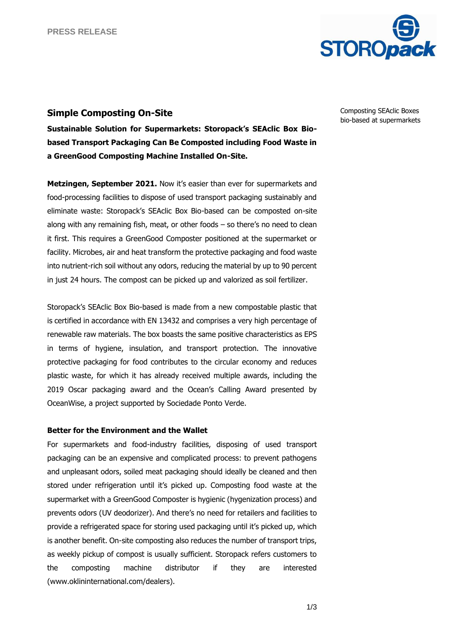

# **Simple Composting On-Site**

**Sustainable Solution for Supermarkets: Storopack's SEAclic Box Biobased Transport Packaging Can Be Composted including Food Waste in a GreenGood Composting Machine Installed On-Site.** 

**Metzingen, September 2021.** Now it's easier than ever for supermarkets and food-processing facilities to dispose of used transport packaging sustainably and eliminate waste: Storopack's SEAclic Box Bio-based can be composted on-site along with any remaining fish, meat, or other foods – so there's no need to clean it first. This requires a GreenGood Composter positioned at the supermarket or facility. Microbes, air and heat transform the protective packaging and food waste into nutrient-rich soil without any odors, reducing the material by up to 90 percent in just 24 hours. The compost can be picked up and valorized as soil fertilizer.

Storopack's SEAclic Box Bio-based is made from a new compostable plastic that is certified in accordance with EN 13432 and comprises a very high percentage of renewable raw materials. The box boasts the same positive characteristics as EPS in terms of hygiene, insulation, and transport protection. The innovative protective packaging for food contributes to the circular economy and reduces plastic waste, for which it has already received multiple awards, including the 2019 Oscar packaging award and the Ocean's Calling Award presented by OceanWise, a project supported by Sociedade Ponto Verde.

## **Better for the Environment and the Wallet**

For supermarkets and food-industry facilities, disposing of used transport packaging can be an expensive and complicated process: to prevent pathogens and unpleasant odors, soiled meat packaging should ideally be cleaned and then stored under refrigeration until it's picked up. Composting food waste at the supermarket with a GreenGood Composter is hygienic (hygenization process) and prevents odors (UV deodorizer). And there's no need for retailers and facilities to provide a refrigerated space for storing used packaging until it's picked up, which is another benefit. On-site composting also reduces the number of transport trips, as weekly pickup of compost is usually sufficient. Storopack refers customers to the composting machine distributor if they are interested (www.oklininternational.com/dealers).

Composting SEAclic Boxes bio-based at supermarkets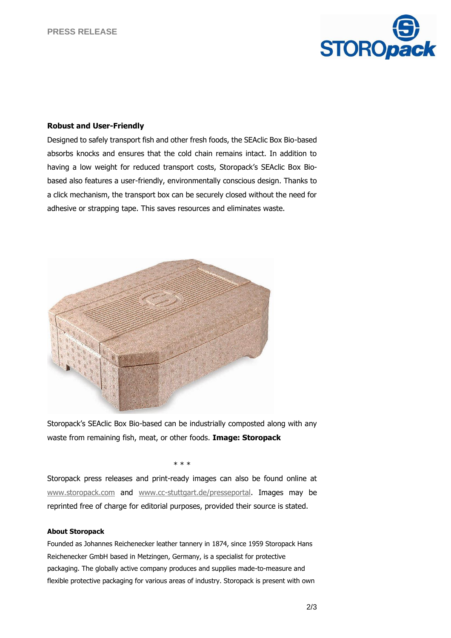

### **Robust and User-Friendly**

Designed to safely transport fish and other fresh foods, the SEAclic Box Bio-based absorbs knocks and ensures that the cold chain remains intact. In addition to having a low weight for reduced transport costs, Storopack's SEAclic Box Biobased also features a user-friendly, environmentally conscious design. Thanks to a click mechanism, the transport box can be securely closed without the need for adhesive or strapping tape. This saves resources and eliminates waste.



Storopack's SEAclic Box Bio-based can be industrially composted along with any waste from remaining fish, meat, or other foods. **Image: Storopack**

\* \* \*

Storopack press releases and print-ready images can also be found online at [www.storopack.com](http://www.storopack.com/) and [www.cc-stuttgart.de/presseportal.](http://www.cc-stuttgart.de/presseportal) Images may be reprinted free of charge for editorial purposes, provided their source is stated.

#### **About Storopack**

Founded as Johannes Reichenecker leather tannery in 1874, since 1959 Storopack Hans Reichenecker GmbH based in Metzingen, Germany, is a specialist for protective packaging. The globally active company produces and supplies made-to-measure and flexible protective packaging for various areas of industry. Storopack is present with own